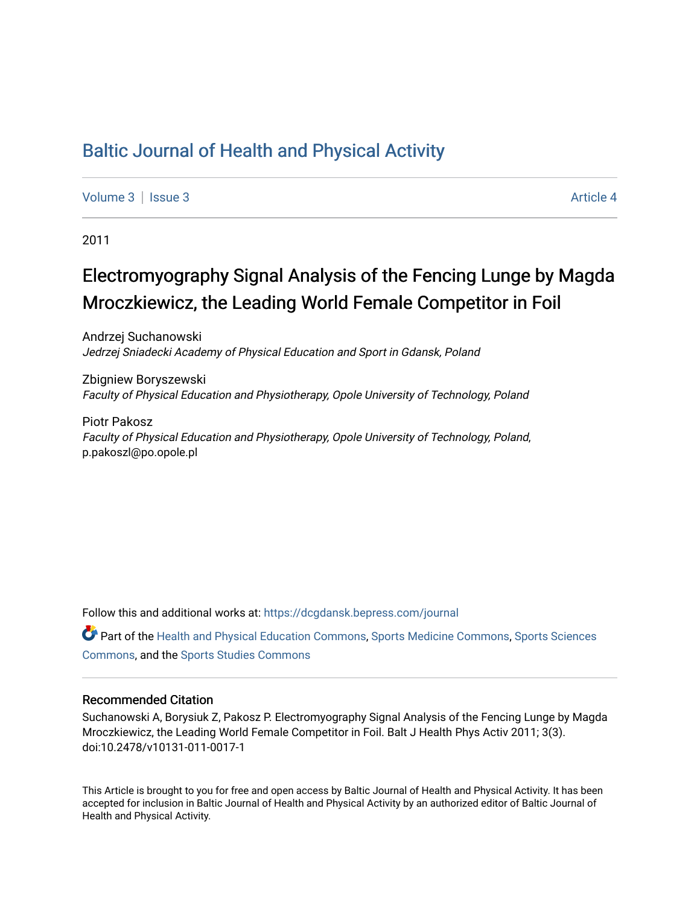# [Baltic Journal of Health and Physical Activity](https://dcgdansk.bepress.com/journal)

[Volume 3](https://dcgdansk.bepress.com/journal/vol3) | [Issue 3](https://dcgdansk.bepress.com/journal/vol3/iss3) Article 4

2011

# Electromyography Signal Analysis of the Fencing Lunge by Magda Mroczkiewicz, the Leading World Female Competitor in Foil

Andrzej Suchanowski Jedrzej Sniadecki Academy of Physical Education and Sport in Gdansk, Poland

Zbigniew Boryszewski Faculty of Physical Education and Physiotherapy, Opole University of Technology, Poland

Piotr Pakosz Faculty of Physical Education and Physiotherapy, Opole University of Technology, Poland, p.pakoszl@po.opole.pl

Follow this and additional works at: [https://dcgdansk.bepress.com/journal](https://dcgdansk.bepress.com/journal?utm_source=dcgdansk.bepress.com%2Fjournal%2Fvol3%2Fiss3%2F4&utm_medium=PDF&utm_campaign=PDFCoverPages)

Part of the [Health and Physical Education Commons](http://network.bepress.com/hgg/discipline/1327?utm_source=dcgdansk.bepress.com%2Fjournal%2Fvol3%2Fiss3%2F4&utm_medium=PDF&utm_campaign=PDFCoverPages), [Sports Medicine Commons,](http://network.bepress.com/hgg/discipline/1331?utm_source=dcgdansk.bepress.com%2Fjournal%2Fvol3%2Fiss3%2F4&utm_medium=PDF&utm_campaign=PDFCoverPages) [Sports Sciences](http://network.bepress.com/hgg/discipline/759?utm_source=dcgdansk.bepress.com%2Fjournal%2Fvol3%2Fiss3%2F4&utm_medium=PDF&utm_campaign=PDFCoverPages) [Commons](http://network.bepress.com/hgg/discipline/759?utm_source=dcgdansk.bepress.com%2Fjournal%2Fvol3%2Fiss3%2F4&utm_medium=PDF&utm_campaign=PDFCoverPages), and the [Sports Studies Commons](http://network.bepress.com/hgg/discipline/1198?utm_source=dcgdansk.bepress.com%2Fjournal%2Fvol3%2Fiss3%2F4&utm_medium=PDF&utm_campaign=PDFCoverPages) 

#### Recommended Citation

Suchanowski A, Borysiuk Z, Pakosz P. Electromyography Signal Analysis of the Fencing Lunge by Magda Mroczkiewicz, the Leading World Female Competitor in Foil. Balt J Health Phys Activ 2011; 3(3). doi:10.2478/v10131-011-0017-1

This Article is brought to you for free and open access by Baltic Journal of Health and Physical Activity. It has been accepted for inclusion in Baltic Journal of Health and Physical Activity by an authorized editor of Baltic Journal of Health and Physical Activity.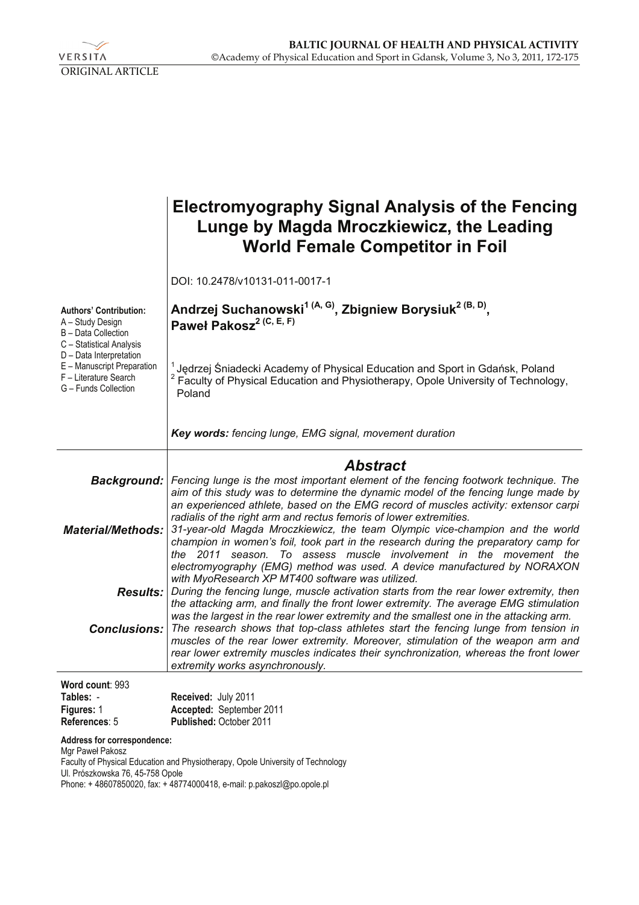

|                                                                                                                                                                                                                | <b>Electromyography Signal Analysis of the Fencing</b><br>Lunge by Magda Mroczkiewicz, the Leading<br><b>World Female Competitor in Foil</b>                                                                                                                                                                                                                                               |
|----------------------------------------------------------------------------------------------------------------------------------------------------------------------------------------------------------------|--------------------------------------------------------------------------------------------------------------------------------------------------------------------------------------------------------------------------------------------------------------------------------------------------------------------------------------------------------------------------------------------|
|                                                                                                                                                                                                                | DOI: 10.2478/v10131-011-0017-1                                                                                                                                                                                                                                                                                                                                                             |
| <b>Authors' Contribution:</b><br>A – Study Design<br>B - Data Collection<br>C - Statistical Analysis<br>D - Data Interpretation<br>E - Manuscript Preparation<br>F - Literature Search<br>G - Funds Collection | Andrzej Suchanowski <sup>1 (A, G)</sup> , Zbigniew Borysiuk <sup>2 (B, D)</sup> ,<br>Paweł Pakosz <sup>2 (C, E, F)</sup>                                                                                                                                                                                                                                                                   |
|                                                                                                                                                                                                                | <sup>1</sup> Jedrzej Śniadecki Academy of Physical Education and Sport in Gdańsk, Poland<br>Faculty of Physical Education and Physiotherapy, Opole University of Technology,<br>Poland                                                                                                                                                                                                     |
|                                                                                                                                                                                                                | Key words: fencing lunge, EMG signal, movement duration                                                                                                                                                                                                                                                                                                                                    |
| Background:                                                                                                                                                                                                    | <b>Abstract</b><br>Fencing lunge is the most important element of the fencing footwork technique. The<br>aim of this study was to determine the dynamic model of the fencing lunge made by<br>an experienced athlete, based on the EMG record of muscles activity: extensor carpi                                                                                                          |
| <b>Material/Methods:</b>                                                                                                                                                                                       | radialis of the right arm and rectus femoris of lower extremities.<br>31-year-old Magda Mroczkiewicz, the team Olympic vice-champion and the world<br>champion in women's foil, took part in the research during the preparatory camp for<br>the 2011 season. To assess muscle involvement in the movement the<br>electromyography (EMG) method was used. A device manufactured by NORAXON |
| <b>Results:</b>                                                                                                                                                                                                | with MyoResearch XP MT400 software was utilized.<br>During the fencing lunge, muscle activation starts from the rear lower extremity, then<br>the attacking arm, and finally the front lower extremity. The average EMG stimulation<br>was the largest in the rear lower extremity and the smallest one in the attacking arm.                                                              |
| <b>Conclusions:</b>                                                                                                                                                                                            | The research shows that top-class athletes start the fencing lunge from tension in<br>muscles of the rear lower extremity. Moreover, stimulation of the weapon arm and<br>rear lower extremity muscles indicates their synchronization, whereas the front lower<br>extremity works asynchronously.                                                                                         |
| Word count: 993<br>Tables: -<br>Figures: 1<br>References: 5                                                                                                                                                    | Received: July 2011<br>Accepted: September 2011<br>Published: October 2011                                                                                                                                                                                                                                                                                                                 |
| Address for correspondence:<br>Mgr Paweł Pakosz                                                                                                                                                                |                                                                                                                                                                                                                                                                                                                                                                                            |

Faculty of Physical Education and Physiotherapy, Opole University of Technology Ul. Prószkowska 76, 45-758 Opole

Phone: + 48607850020, fax: + 48774000418, e-mail: p.pakoszl@po.opole.pl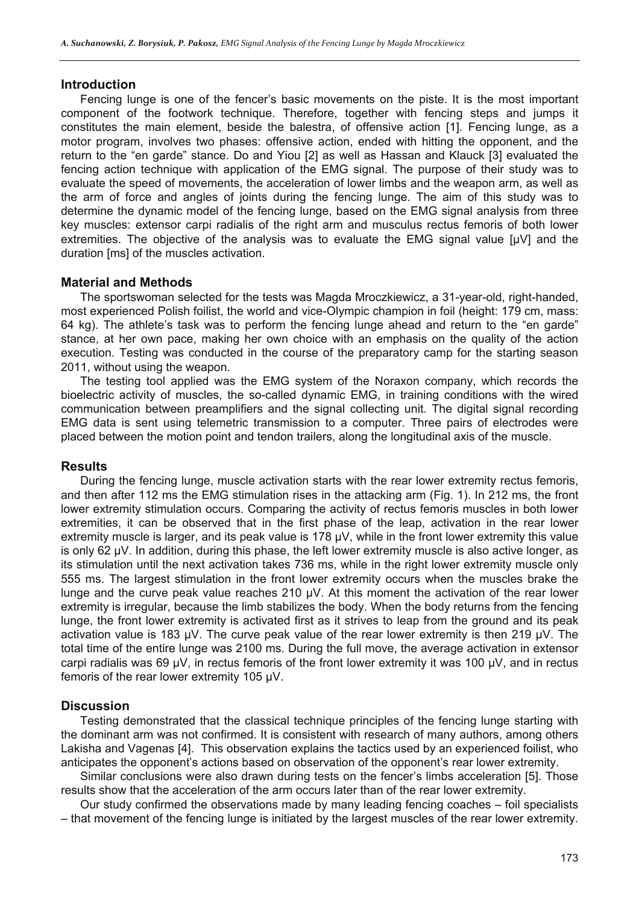#### **Introduction**

Fencing lunge is one of the fencer's basic movements on the piste. It is the most important component of the footwork technique. Therefore, together with fencing steps and jumps it constitutes the main element, beside the balestra, of offensive action [1]. Fencing lunge, as a motor program, involves two phases: offensive action, ended with hitting the opponent, and the return to the "en garde" stance. Do and Yiou [2] as well as Hassan and Klauck [3] evaluated the fencing action technique with application of the EMG signal. The purpose of their study was to evaluate the speed of movements, the acceleration of lower limbs and the weapon arm, as well as the arm of force and angles of joints during the fencing lunge. The aim of this study was to determine the dynamic model of the fencing lunge, based on the EMG signal analysis from three key muscles: extensor carpi radialis of the right arm and musculus rectus femoris of both lower extremities. The objective of the analysis was to evaluate the EMG signal value [μV] and the duration [ms] of the muscles activation.

#### **Material and Methods**

The sportswoman selected for the tests was Magda Mroczkiewicz, a 31-year-old, right-handed, most experienced Polish foilist, the world and vice-Olympic champion in foil (height: 179 cm, mass: 64 kg). The athlete's task was to perform the fencing lunge ahead and return to the "en garde" stance, at her own pace, making her own choice with an emphasis on the quality of the action execution. Testing was conducted in the course of the preparatory camp for the starting season 2011, without using the weapon.

The testing tool applied was the EMG system of the Noraxon company, which records the bioelectric activity of muscles, the so-called dynamic EMG, in training conditions with the wired communication between preamplifiers and the signal collecting unit. The digital signal recording EMG data is sent using telemetric transmission to a computer. Three pairs of electrodes were placed between the motion point and tendon trailers, along the longitudinal axis of the muscle.

#### **Results**

During the fencing lunge, muscle activation starts with the rear lower extremity rectus femoris, and then after 112 ms the EMG stimulation rises in the attacking arm (Fig. 1). In 212 ms, the front lower extremity stimulation occurs. Comparing the activity of rectus femoris muscles in both lower extremities, it can be observed that in the first phase of the leap, activation in the rear lower extremity muscle is larger, and its peak value is 178  $\mu$ V, while in the front lower extremity this value is only 62 μV. In addition, during this phase, the left lower extremity muscle is also active longer, as its stimulation until the next activation takes 736 ms, while in the right lower extremity muscle only 555 ms. The largest stimulation in the front lower extremity occurs when the muscles brake the lunge and the curve peak value reaches 210 μV. At this moment the activation of the rear lower extremity is irregular, because the limb stabilizes the body. When the body returns from the fencing lunge, the front lower extremity is activated first as it strives to leap from the ground and its peak activation value is 183 μV. The curve peak value of the rear lower extremity is then 219 μV. The total time of the entire lunge was 2100 ms. During the full move, the average activation in extensor carpi radialis was 69 μV, in rectus femoris of the front lower extremity it was 100 μV, and in rectus femoris of the rear lower extremity 105 μV.

### **Discussion**

Testing demonstrated that the classical technique principles of the fencing lunge starting with the dominant arm was not confirmed. It is consistent with research of many authors, among others Lakisha and Vagenas [4]. This observation explains the tactics used by an experienced foilist, who anticipates the opponent's actions based on observation of the opponent's rear lower extremity.

Similar conclusions were also drawn during tests on the fencer's limbs acceleration [5]. Those results show that the acceleration of the arm occurs later than of the rear lower extremity.

Our study confirmed the observations made by many leading fencing coaches – foil specialists – that movement of the fencing lunge is initiated by the largest muscles of the rear lower extremity.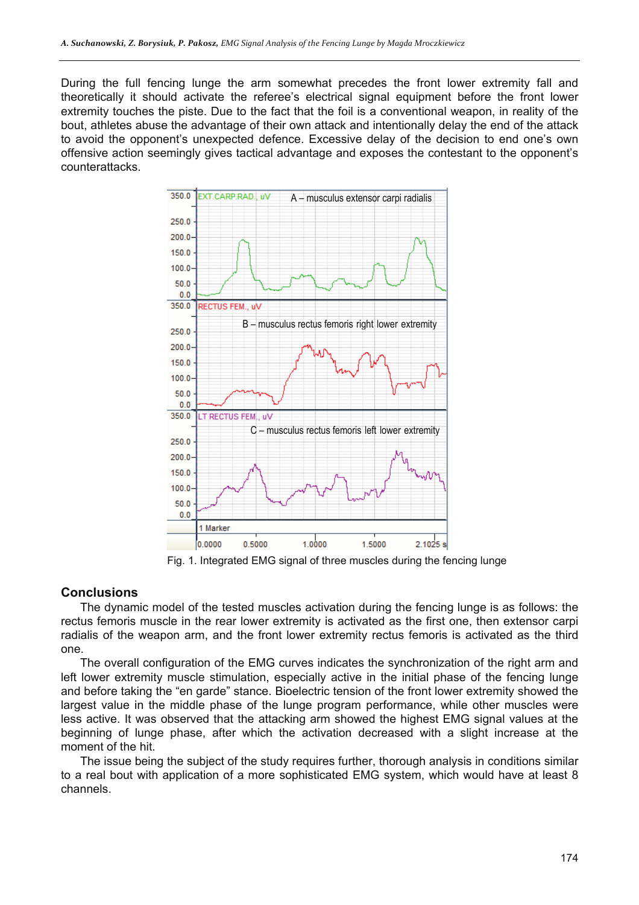During the full fencing lunge the arm somewhat precedes the front lower extremity fall and theoretically it should activate the referee's electrical signal equipment before the front lower extremity touches the piste. Due to the fact that the foil is a conventional weapon, in reality of the bout, athletes abuse the advantage of their own attack and intentionally delay the end of the attack to avoid the opponent's unexpected defence. Excessive delay of the decision to end one's own offensive action seemingly gives tactical advantage and exposes the contestant to the opponent's counterattacks.



Fig. 1. Integrated EMG signal of three muscles during the fencing lunge

### **Conclusions**

The dynamic model of the tested muscles activation during the fencing lunge is as follows: the rectus femoris muscle in the rear lower extremity is activated as the first one, then extensor carpi radialis of the weapon arm, and the front lower extremity rectus femoris is activated as the third one.

The overall configuration of the EMG curves indicates the synchronization of the right arm and left lower extremity muscle stimulation, especially active in the initial phase of the fencing lunge and before taking the "en garde" stance. Bioelectric tension of the front lower extremity showed the largest value in the middle phase of the lunge program performance, while other muscles were less active. It was observed that the attacking arm showed the highest EMG signal values at the beginning of lunge phase, after which the activation decreased with a slight increase at the moment of the hit.

The issue being the subject of the study requires further, thorough analysis in conditions similar to a real bout with application of a more sophisticated EMG system, which would have at least 8 channels.